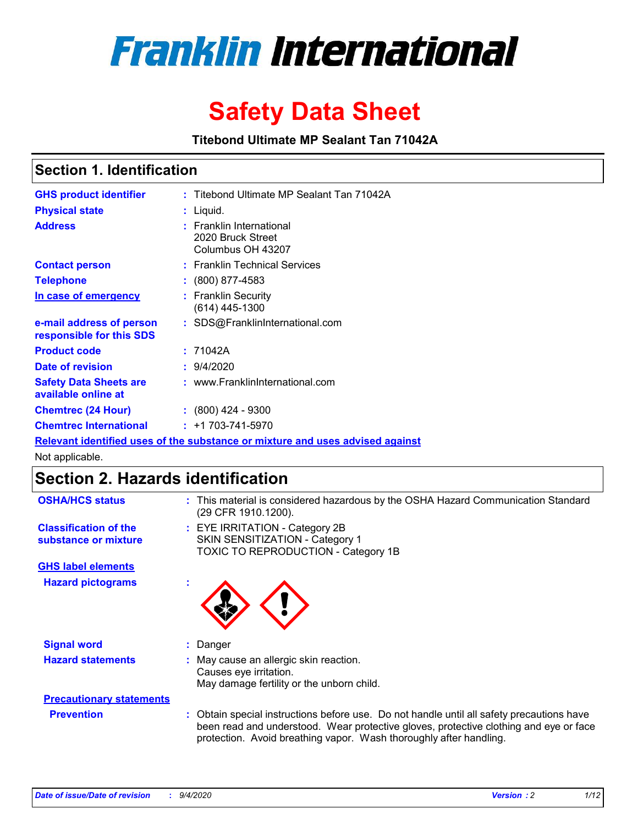

# **Safety Data Sheet**

**Titebond Ultimate MP Sealant Tan 71042A**

### **Section 1. Identification**

| <b>GHS product identifier</b>                                                 |  | : Titebond Ultimate MP Sealant Tan 71042A                               |  |  |
|-------------------------------------------------------------------------------|--|-------------------------------------------------------------------------|--|--|
| <b>Physical state</b>                                                         |  | : Liquid.                                                               |  |  |
| <b>Address</b>                                                                |  | <b>Franklin International</b><br>2020 Bruck Street<br>Columbus OH 43207 |  |  |
| <b>Contact person</b>                                                         |  | : Franklin Technical Services                                           |  |  |
| <b>Telephone</b>                                                              |  | $\colon$ (800) 877-4583                                                 |  |  |
| In case of emergency                                                          |  | : Franklin Security<br>(614) 445-1300                                   |  |  |
| e-mail address of person<br>responsible for this SDS                          |  | : SDS@FranklinInternational.com                                         |  |  |
| <b>Product code</b>                                                           |  | : 71042A                                                                |  |  |
| Date of revision                                                              |  | : 9/4/2020                                                              |  |  |
| <b>Safety Data Sheets are</b><br>available online at                          |  | : www.FranklinInternational.com                                         |  |  |
| <b>Chemtrec (24 Hour)</b>                                                     |  | $: (800)$ 424 - 9300                                                    |  |  |
| <b>Chemtrec International</b>                                                 |  | $: +1703 - 741 - 5970$                                                  |  |  |
| Relevant identified uses of the substance or mixture and uses advised against |  |                                                                         |  |  |

Not applicable.

## **Section 2. Hazards identification**

| <b>OSHA/HCS status</b>                               | This material is considered hazardous by the OSHA Hazard Communication Standard<br>(29 CFR 1910.1200).                                                                                                                                                 |  |  |  |
|------------------------------------------------------|--------------------------------------------------------------------------------------------------------------------------------------------------------------------------------------------------------------------------------------------------------|--|--|--|
| <b>Classification of the</b><br>substance or mixture | : EYE IRRITATION - Category 2B<br>SKIN SENSITIZATION - Category 1<br>TOXIC TO REPRODUCTION - Category 1B                                                                                                                                               |  |  |  |
| <b>GHS label elements</b>                            |                                                                                                                                                                                                                                                        |  |  |  |
| <b>Hazard pictograms</b>                             |                                                                                                                                                                                                                                                        |  |  |  |
| <b>Signal word</b>                                   | Danger                                                                                                                                                                                                                                                 |  |  |  |
| <b>Hazard statements</b>                             | May cause an allergic skin reaction.<br>Causes eye irritation.<br>May damage fertility or the unborn child.                                                                                                                                            |  |  |  |
| <b>Precautionary statements</b>                      |                                                                                                                                                                                                                                                        |  |  |  |
| <b>Prevention</b>                                    | Obtain special instructions before use. Do not handle until all safety precautions have<br>been read and understood. Wear protective gloves, protective clothing and eye or face<br>protection. Avoid breathing vapor. Wash thoroughly after handling. |  |  |  |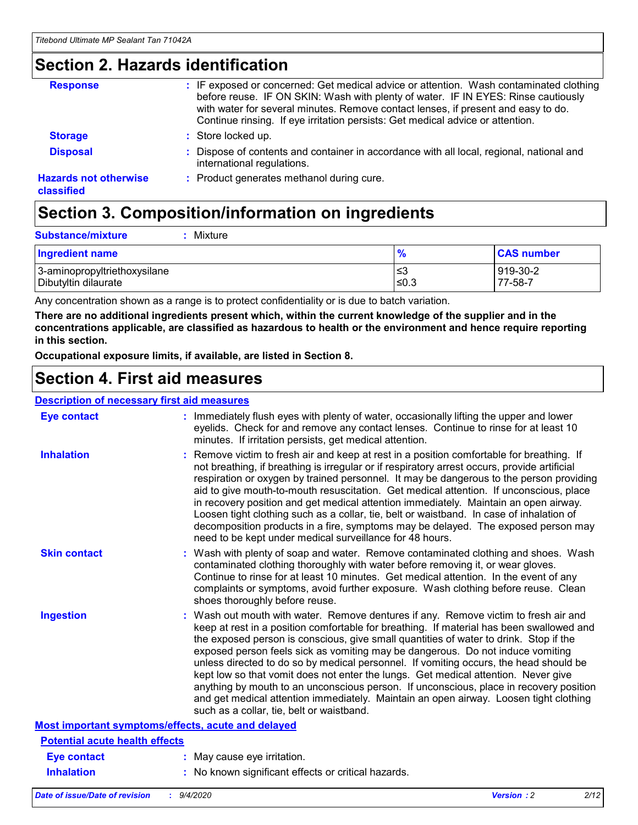### **Section 2. Hazards identification**

| <b>Response</b>                            | : IF exposed or concerned: Get medical advice or attention. Wash contaminated clothing<br>before reuse. IF ON SKIN: Wash with plenty of water. IF IN EYES: Rinse cautiously<br>with water for several minutes. Remove contact lenses, if present and easy to do.<br>Continue rinsing. If eye irritation persists: Get medical advice or attention. |
|--------------------------------------------|----------------------------------------------------------------------------------------------------------------------------------------------------------------------------------------------------------------------------------------------------------------------------------------------------------------------------------------------------|
| <b>Storage</b>                             | : Store locked up.                                                                                                                                                                                                                                                                                                                                 |
| <b>Disposal</b>                            | : Dispose of contents and container in accordance with all local, regional, national and<br>international regulations.                                                                                                                                                                                                                             |
| <b>Hazards not otherwise</b><br>classified | : Product generates methanol during cure.                                                                                                                                                                                                                                                                                                          |

# **Section 3. Composition/information on ingredients**

| $:$ Mixture |
|-------------|
|             |

| <b>Ingredient name</b>       | $\frac{9}{6}$ | <b>CAS number</b> |
|------------------------------|---------------|-------------------|
| 3-aminopropyltriethoxysilane | ≤3            | 919-30-2          |
| Dibutyltin dilaurate         | ∣≤0.3         | $77 - 58 - 1$     |

Any concentration shown as a range is to protect confidentiality or is due to batch variation.

**There are no additional ingredients present which, within the current knowledge of the supplier and in the concentrations applicable, are classified as hazardous to health or the environment and hence require reporting in this section.**

**Occupational exposure limits, if available, are listed in Section 8.**

### **Section 4. First aid measures**

| <b>Description of necessary first aid measures</b> |                                                                                                                                                                                                                                                                                                                                                                                                                                                                                                                                                                                                                                                                                                                                                                           |
|----------------------------------------------------|---------------------------------------------------------------------------------------------------------------------------------------------------------------------------------------------------------------------------------------------------------------------------------------------------------------------------------------------------------------------------------------------------------------------------------------------------------------------------------------------------------------------------------------------------------------------------------------------------------------------------------------------------------------------------------------------------------------------------------------------------------------------------|
| <b>Eye contact</b>                                 | : Immediately flush eyes with plenty of water, occasionally lifting the upper and lower<br>eyelids. Check for and remove any contact lenses. Continue to rinse for at least 10<br>minutes. If irritation persists, get medical attention.                                                                                                                                                                                                                                                                                                                                                                                                                                                                                                                                 |
| <b>Inhalation</b>                                  | : Remove victim to fresh air and keep at rest in a position comfortable for breathing. If<br>not breathing, if breathing is irregular or if respiratory arrest occurs, provide artificial<br>respiration or oxygen by trained personnel. It may be dangerous to the person providing<br>aid to give mouth-to-mouth resuscitation. Get medical attention. If unconscious, place<br>in recovery position and get medical attention immediately. Maintain an open airway.<br>Loosen tight clothing such as a collar, tie, belt or waistband. In case of inhalation of<br>decomposition products in a fire, symptoms may be delayed. The exposed person may<br>need to be kept under medical surveillance for 48 hours.                                                       |
| <b>Skin contact</b>                                | : Wash with plenty of soap and water. Remove contaminated clothing and shoes. Wash<br>contaminated clothing thoroughly with water before removing it, or wear gloves.<br>Continue to rinse for at least 10 minutes. Get medical attention. In the event of any<br>complaints or symptoms, avoid further exposure. Wash clothing before reuse. Clean<br>shoes thoroughly before reuse.                                                                                                                                                                                                                                                                                                                                                                                     |
| <b>Ingestion</b>                                   | : Wash out mouth with water. Remove dentures if any. Remove victim to fresh air and<br>keep at rest in a position comfortable for breathing. If material has been swallowed and<br>the exposed person is conscious, give small quantities of water to drink. Stop if the<br>exposed person feels sick as vomiting may be dangerous. Do not induce vomiting<br>unless directed to do so by medical personnel. If vomiting occurs, the head should be<br>kept low so that vomit does not enter the lungs. Get medical attention. Never give<br>anything by mouth to an unconscious person. If unconscious, place in recovery position<br>and get medical attention immediately. Maintain an open airway. Loosen tight clothing<br>such as a collar, tie, belt or waistband. |
| Most important symptoms/effects, acute and delayed |                                                                                                                                                                                                                                                                                                                                                                                                                                                                                                                                                                                                                                                                                                                                                                           |
| <b>Potential acute health effects</b>              |                                                                                                                                                                                                                                                                                                                                                                                                                                                                                                                                                                                                                                                                                                                                                                           |
| <b>Eye contact</b>                                 | : May cause eye irritation.                                                                                                                                                                                                                                                                                                                                                                                                                                                                                                                                                                                                                                                                                                                                               |
| <b>Inhalation</b>                                  | : No known significant effects or critical hazards.                                                                                                                                                                                                                                                                                                                                                                                                                                                                                                                                                                                                                                                                                                                       |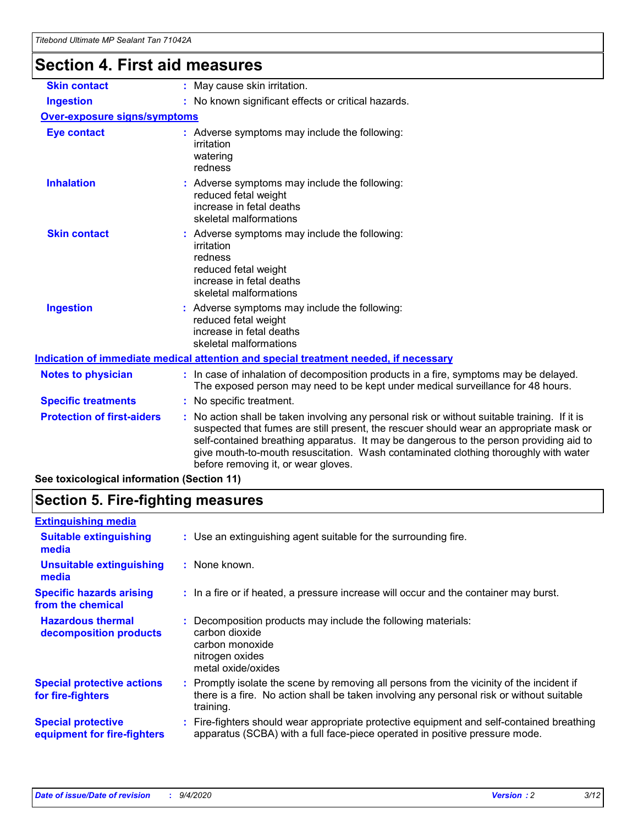# **Section 4. First aid measures**

| <b>Skin contact</b>                                                                                                                                                                                                                                                                                                                                                                                                                                | : May cause skin irritation.                                                                                                                                             |  |  |
|----------------------------------------------------------------------------------------------------------------------------------------------------------------------------------------------------------------------------------------------------------------------------------------------------------------------------------------------------------------------------------------------------------------------------------------------------|--------------------------------------------------------------------------------------------------------------------------------------------------------------------------|--|--|
| <b>Ingestion</b>                                                                                                                                                                                                                                                                                                                                                                                                                                   | : No known significant effects or critical hazards.                                                                                                                      |  |  |
| <b>Over-exposure signs/symptoms</b>                                                                                                                                                                                                                                                                                                                                                                                                                |                                                                                                                                                                          |  |  |
| <b>Eye contact</b>                                                                                                                                                                                                                                                                                                                                                                                                                                 | : Adverse symptoms may include the following:<br>irritation<br>watering<br>redness                                                                                       |  |  |
| <b>Inhalation</b>                                                                                                                                                                                                                                                                                                                                                                                                                                  | Adverse symptoms may include the following:<br>reduced fetal weight<br>increase in fetal deaths<br>skeletal malformations                                                |  |  |
| <b>Skin contact</b>                                                                                                                                                                                                                                                                                                                                                                                                                                | Adverse symptoms may include the following:<br>irritation<br>redness<br>reduced fetal weight<br>increase in fetal deaths<br>skeletal malformations                       |  |  |
| <b>Ingestion</b>                                                                                                                                                                                                                                                                                                                                                                                                                                   | : Adverse symptoms may include the following:<br>reduced fetal weight<br>increase in fetal deaths<br>skeletal malformations                                              |  |  |
|                                                                                                                                                                                                                                                                                                                                                                                                                                                    | Indication of immediate medical attention and special treatment needed, if necessary                                                                                     |  |  |
| <b>Notes to physician</b>                                                                                                                                                                                                                                                                                                                                                                                                                          | : In case of inhalation of decomposition products in a fire, symptoms may be delayed.<br>The exposed person may need to be kept under medical surveillance for 48 hours. |  |  |
| <b>Specific treatments</b>                                                                                                                                                                                                                                                                                                                                                                                                                         | : No specific treatment.                                                                                                                                                 |  |  |
| <b>Protection of first-aiders</b><br>No action shall be taken involving any personal risk or without suitable training. If it is<br>suspected that fumes are still present, the rescuer should wear an appropriate mask or<br>self-contained breathing apparatus. It may be dangerous to the person providing aid to<br>give mouth-to-mouth resuscitation. Wash contaminated clothing thoroughly with water<br>before removing it, or wear gloves. |                                                                                                                                                                          |  |  |
| See toxicological information (Section 11)                                                                                                                                                                                                                                                                                                                                                                                                         |                                                                                                                                                                          |  |  |

# **Section 5. Fire-fighting measures**

| : Use an extinguishing agent suitable for the surrounding fire.                                                                                                                                     |
|-----------------------------------------------------------------------------------------------------------------------------------------------------------------------------------------------------|
| : None known.                                                                                                                                                                                       |
| : In a fire or if heated, a pressure increase will occur and the container may burst.                                                                                                               |
| Decomposition products may include the following materials:<br>carbon dioxide<br>carbon monoxide<br>nitrogen oxides<br>metal oxide/oxides                                                           |
| : Promptly isolate the scene by removing all persons from the vicinity of the incident if<br>there is a fire. No action shall be taken involving any personal risk or without suitable<br>training. |
| Fire-fighters should wear appropriate protective equipment and self-contained breathing<br>apparatus (SCBA) with a full face-piece operated in positive pressure mode.                              |
|                                                                                                                                                                                                     |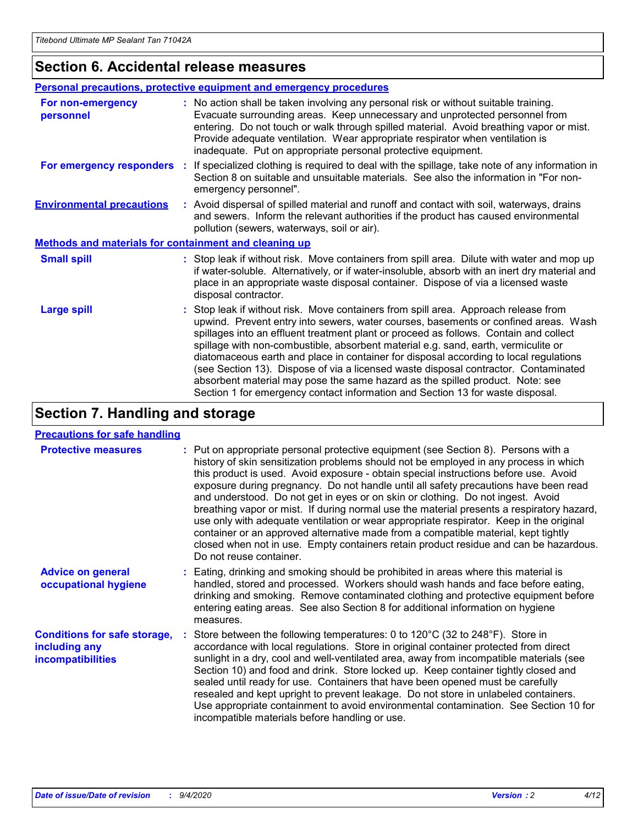### **Section 6. Accidental release measures**

|                                                              | <b>Personal precautions, protective equipment and emergency procedures</b>                                                                                                                                                                                                                                                                                                                                                                                                                                                                                                                                                                                                                                   |  |  |  |  |
|--------------------------------------------------------------|--------------------------------------------------------------------------------------------------------------------------------------------------------------------------------------------------------------------------------------------------------------------------------------------------------------------------------------------------------------------------------------------------------------------------------------------------------------------------------------------------------------------------------------------------------------------------------------------------------------------------------------------------------------------------------------------------------------|--|--|--|--|
| For non-emergency<br>personnel                               | : No action shall be taken involving any personal risk or without suitable training.<br>Evacuate surrounding areas. Keep unnecessary and unprotected personnel from<br>entering. Do not touch or walk through spilled material. Avoid breathing vapor or mist.<br>Provide adequate ventilation. Wear appropriate respirator when ventilation is<br>inadequate. Put on appropriate personal protective equipment.                                                                                                                                                                                                                                                                                             |  |  |  |  |
| For emergency responders                                     | : If specialized clothing is required to deal with the spillage, take note of any information in<br>Section 8 on suitable and unsuitable materials. See also the information in "For non-<br>emergency personnel".                                                                                                                                                                                                                                                                                                                                                                                                                                                                                           |  |  |  |  |
| <b>Environmental precautions</b>                             | : Avoid dispersal of spilled material and runoff and contact with soil, waterways, drains<br>and sewers. Inform the relevant authorities if the product has caused environmental<br>pollution (sewers, waterways, soil or air).                                                                                                                                                                                                                                                                                                                                                                                                                                                                              |  |  |  |  |
| <b>Methods and materials for containment and cleaning up</b> |                                                                                                                                                                                                                                                                                                                                                                                                                                                                                                                                                                                                                                                                                                              |  |  |  |  |
| <b>Small spill</b>                                           | : Stop leak if without risk. Move containers from spill area. Dilute with water and mop up<br>if water-soluble. Alternatively, or if water-insoluble, absorb with an inert dry material and<br>place in an appropriate waste disposal container. Dispose of via a licensed waste<br>disposal contractor.                                                                                                                                                                                                                                                                                                                                                                                                     |  |  |  |  |
| <b>Large spill</b>                                           | : Stop leak if without risk. Move containers from spill area. Approach release from<br>upwind. Prevent entry into sewers, water courses, basements or confined areas. Wash<br>spillages into an effluent treatment plant or proceed as follows. Contain and collect<br>spillage with non-combustible, absorbent material e.g. sand, earth, vermiculite or<br>diatomaceous earth and place in container for disposal according to local regulations<br>(see Section 13). Dispose of via a licensed waste disposal contractor. Contaminated<br>absorbent material may pose the same hazard as the spilled product. Note: see<br>Section 1 for emergency contact information and Section 13 for waste disposal. |  |  |  |  |

### **Section 7. Handling and storage**

#### **Precautions for safe handling**

| <b>Protective measures</b>                                                       | : Put on appropriate personal protective equipment (see Section 8). Persons with a<br>history of skin sensitization problems should not be employed in any process in which<br>this product is used. Avoid exposure - obtain special instructions before use. Avoid<br>exposure during pregnancy. Do not handle until all safety precautions have been read<br>and understood. Do not get in eyes or on skin or clothing. Do not ingest. Avoid<br>breathing vapor or mist. If during normal use the material presents a respiratory hazard,<br>use only with adequate ventilation or wear appropriate respirator. Keep in the original<br>container or an approved alternative made from a compatible material, kept tightly<br>closed when not in use. Empty containers retain product residue and can be hazardous.<br>Do not reuse container. |
|----------------------------------------------------------------------------------|--------------------------------------------------------------------------------------------------------------------------------------------------------------------------------------------------------------------------------------------------------------------------------------------------------------------------------------------------------------------------------------------------------------------------------------------------------------------------------------------------------------------------------------------------------------------------------------------------------------------------------------------------------------------------------------------------------------------------------------------------------------------------------------------------------------------------------------------------|
| <b>Advice on general</b><br>occupational hygiene                                 | : Eating, drinking and smoking should be prohibited in areas where this material is<br>handled, stored and processed. Workers should wash hands and face before eating,<br>drinking and smoking. Remove contaminated clothing and protective equipment before<br>entering eating areas. See also Section 8 for additional information on hygiene<br>measures.                                                                                                                                                                                                                                                                                                                                                                                                                                                                                    |
| <b>Conditions for safe storage,</b><br>including any<br><b>incompatibilities</b> | Store between the following temperatures: 0 to 120°C (32 to 248°F). Store in<br>accordance with local regulations. Store in original container protected from direct<br>sunlight in a dry, cool and well-ventilated area, away from incompatible materials (see<br>Section 10) and food and drink. Store locked up. Keep container tightly closed and<br>sealed until ready for use. Containers that have been opened must be carefully<br>resealed and kept upright to prevent leakage. Do not store in unlabeled containers.<br>Use appropriate containment to avoid environmental contamination. See Section 10 for<br>incompatible materials before handling or use.                                                                                                                                                                         |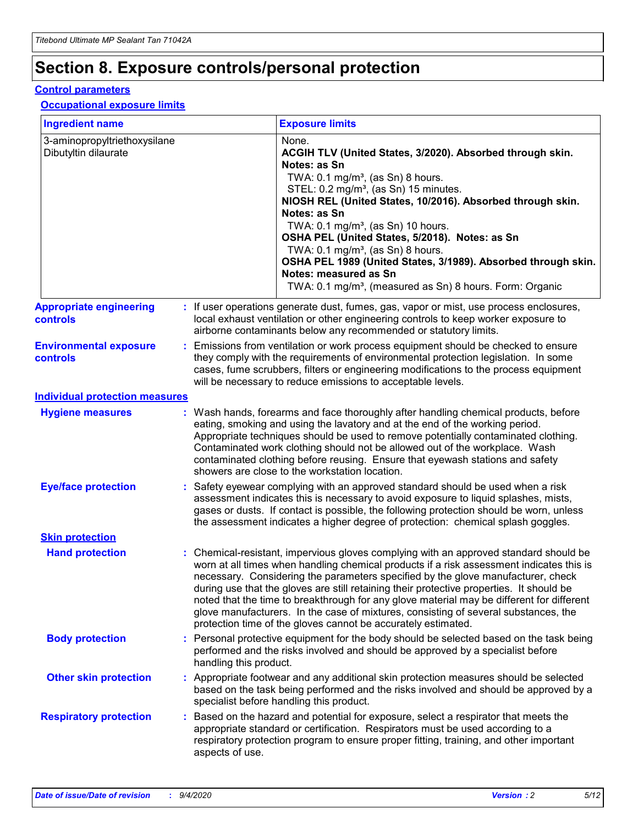## **Section 8. Exposure controls/personal protection**

#### **Control parameters**

#### **Occupational exposure limits**

| <b>Ingredient name</b>                               |                        | <b>Exposure limits</b>                                                                                                                                                                                                                                                                                                                                                                                                                                                                                                                                                                                                 |
|------------------------------------------------------|------------------------|------------------------------------------------------------------------------------------------------------------------------------------------------------------------------------------------------------------------------------------------------------------------------------------------------------------------------------------------------------------------------------------------------------------------------------------------------------------------------------------------------------------------------------------------------------------------------------------------------------------------|
| 3-aminopropyltriethoxysilane<br>Dibutyltin dilaurate |                        | None.<br>ACGIH TLV (United States, 3/2020). Absorbed through skin.<br>Notes: as Sn<br>TWA: 0.1 mg/m <sup>3</sup> , (as Sn) 8 hours.<br>STEL: 0.2 mg/m <sup>3</sup> , (as Sn) 15 minutes.<br>NIOSH REL (United States, 10/2016). Absorbed through skin.<br>Notes: as Sn<br>TWA: 0.1 mg/m <sup>3</sup> , (as Sn) 10 hours.<br>OSHA PEL (United States, 5/2018). Notes: as Sn<br>TWA: $0.1 \text{ mg/m}^3$ , (as Sn) 8 hours.<br>OSHA PEL 1989 (United States, 3/1989). Absorbed through skin.<br>Notes: measured as Sn<br>TWA: 0.1 mg/m <sup>3</sup> , (measured as Sn) 8 hours. Form: Organic                           |
| <b>Appropriate engineering</b><br><b>controls</b>    |                        | : If user operations generate dust, fumes, gas, vapor or mist, use process enclosures,<br>local exhaust ventilation or other engineering controls to keep worker exposure to<br>airborne contaminants below any recommended or statutory limits.                                                                                                                                                                                                                                                                                                                                                                       |
| <b>Environmental exposure</b><br><b>controls</b>     |                        | Emissions from ventilation or work process equipment should be checked to ensure<br>they comply with the requirements of environmental protection legislation. In some<br>cases, fume scrubbers, filters or engineering modifications to the process equipment<br>will be necessary to reduce emissions to acceptable levels.                                                                                                                                                                                                                                                                                          |
| <b>Individual protection measures</b>                |                        |                                                                                                                                                                                                                                                                                                                                                                                                                                                                                                                                                                                                                        |
| <b>Hygiene measures</b>                              |                        | : Wash hands, forearms and face thoroughly after handling chemical products, before<br>eating, smoking and using the lavatory and at the end of the working period.<br>Appropriate techniques should be used to remove potentially contaminated clothing.<br>Contaminated work clothing should not be allowed out of the workplace. Wash<br>contaminated clothing before reusing. Ensure that eyewash stations and safety<br>showers are close to the workstation location.                                                                                                                                            |
| <b>Eye/face protection</b>                           |                        | : Safety eyewear complying with an approved standard should be used when a risk<br>assessment indicates this is necessary to avoid exposure to liquid splashes, mists,<br>gases or dusts. If contact is possible, the following protection should be worn, unless<br>the assessment indicates a higher degree of protection: chemical splash goggles.                                                                                                                                                                                                                                                                  |
| <b>Skin protection</b>                               |                        |                                                                                                                                                                                                                                                                                                                                                                                                                                                                                                                                                                                                                        |
| <b>Hand protection</b>                               |                        | : Chemical-resistant, impervious gloves complying with an approved standard should be<br>worn at all times when handling chemical products if a risk assessment indicates this is<br>necessary. Considering the parameters specified by the glove manufacturer, check<br>during use that the gloves are still retaining their protective properties. It should be<br>noted that the time to breakthrough for any glove material may be different for different<br>glove manufacturers. In the case of mixtures, consisting of several substances, the<br>protection time of the gloves cannot be accurately estimated. |
| <b>Body protection</b>                               | handling this product. | : Personal protective equipment for the body should be selected based on the task being<br>performed and the risks involved and should be approved by a specialist before                                                                                                                                                                                                                                                                                                                                                                                                                                              |
| <b>Other skin protection</b>                         |                        | : Appropriate footwear and any additional skin protection measures should be selected<br>based on the task being performed and the risks involved and should be approved by a<br>specialist before handling this product.                                                                                                                                                                                                                                                                                                                                                                                              |
| <b>Respiratory protection</b>                        | aspects of use.        | : Based on the hazard and potential for exposure, select a respirator that meets the<br>appropriate standard or certification. Respirators must be used according to a<br>respiratory protection program to ensure proper fitting, training, and other important                                                                                                                                                                                                                                                                                                                                                       |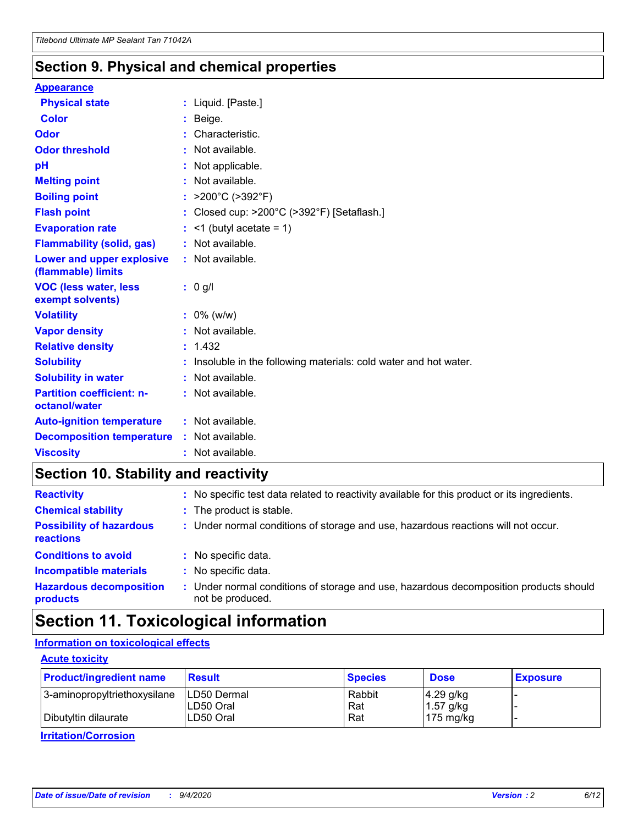### **Section 9. Physical and chemical properties**

#### **Appearance**

| <b>Physical state</b>                             | : Liquid. [Paste.]                                                |
|---------------------------------------------------|-------------------------------------------------------------------|
| <b>Color</b>                                      | Beige.                                                            |
| Odor                                              | Characteristic.                                                   |
| <b>Odor threshold</b>                             | : Not available.                                                  |
| рH                                                | : Not applicable.                                                 |
| <b>Melting point</b>                              | : Not available.                                                  |
| <b>Boiling point</b>                              | : $>200^{\circ}$ C ( $>392^{\circ}$ F)                            |
| <b>Flash point</b>                                | : Closed cup: >200°C (>392°F) [Setaflash.]                        |
| <b>Evaporation rate</b>                           | $:$ <1 (butyl acetate = 1)                                        |
| <b>Flammability (solid, gas)</b>                  | : Not available.                                                  |
| Lower and upper explosive<br>(flammable) limits   | : Not available.                                                  |
| <b>VOC (less water, less</b><br>exempt solvents)  | $: 0$ g/l                                                         |
| <b>Volatility</b>                                 | $: 0\%$ (w/w)                                                     |
| <b>Vapor density</b>                              | : Not available.                                                  |
| <b>Relative density</b>                           | : 1.432                                                           |
| <b>Solubility</b>                                 | : Insoluble in the following materials: cold water and hot water. |
| <b>Solubility in water</b>                        | : Not available.                                                  |
| <b>Partition coefficient: n-</b><br>octanol/water | : Not available.                                                  |
| <b>Auto-ignition temperature</b>                  | $:$ Not available.                                                |
| <b>Decomposition temperature</b>                  | : Not available.                                                  |
| <b>Viscosity</b>                                  | $:$ Not available.                                                |

### **Section 10. Stability and reactivity**

| <b>Reactivity</b>                            |    | : No specific test data related to reactivity available for this product or its ingredients.            |
|----------------------------------------------|----|---------------------------------------------------------------------------------------------------------|
| <b>Chemical stability</b>                    |    | : The product is stable.                                                                                |
| <b>Possibility of hazardous</b><br>reactions |    | : Under normal conditions of storage and use, hazardous reactions will not occur.                       |
| <b>Conditions to avoid</b>                   |    | : No specific data.                                                                                     |
| <b>Incompatible materials</b>                | ÷. | No specific data.                                                                                       |
| <b>Hazardous decomposition</b><br>products   |    | Under normal conditions of storage and use, hazardous decomposition products should<br>not be produced. |

### **Section 11. Toxicological information**

#### **Information on toxicological effects**

#### **Acute toxicity**

| <b>Product/ingredient name</b> | <b>Result</b>           | <b>Species</b> | <b>Dose</b>                | <b>Exposure</b> |
|--------------------------------|-------------------------|----------------|----------------------------|-----------------|
| 3-aminopropyltriethoxysilane   | <b>ILD50 Dermal</b>     | Rabbit         | 4.29 g/kg                  |                 |
| Dibutyltin dilaurate           | ILD50 Oral<br>LD50 Oral | Rat<br>Rat     | $1.57$ g/kg<br>175 $mg/kg$ |                 |
|                                |                         |                |                            |                 |

**Irritation/Corrosion**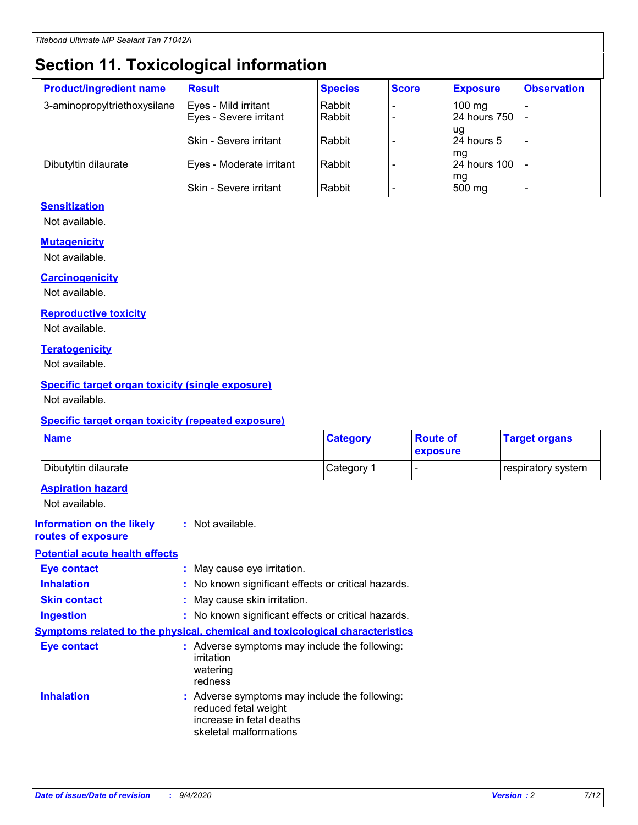# **Section 11. Toxicological information**

| <b>Product/ingredient name</b> | <b>Result</b>            | <b>Species</b> | <b>Score</b> | <b>Exposure</b>           | <b>Observation</b> |
|--------------------------------|--------------------------|----------------|--------------|---------------------------|--------------------|
| 3-aminopropyltriethoxysilane   | Eyes - Mild irritant     | Rabbit         |              | $100$ mg                  |                    |
|                                | Eyes - Severe irritant   | Rabbit         |              | 24 hours 750              |                    |
|                                |                          |                |              | ug                        |                    |
|                                | Skin - Severe irritant   | Rabbit         |              | 24 hours 5                | -                  |
| Dibutyltin dilaurate           | Eyes - Moderate irritant | Rabbit         |              | mq<br><b>24 hours 100</b> |                    |
|                                |                          |                |              | mg                        |                    |
|                                | Skin - Severe irritant   | Rabbit         |              | 500 mg                    |                    |

#### **Sensitization**

Not available.

#### **Mutagenicity**

Not available.

#### **Carcinogenicity**

Not available.

#### **Reproductive toxicity**

Not available.

#### **Teratogenicity**

Not available.

#### **Specific target organ toxicity (single exposure)**

Not available.

#### **Specific target organ toxicity (repeated exposure)**

| <b>Name</b>                                                                  |                                                                                                                             | <b>Category</b>                                     | <b>Route of</b><br>exposure  | <b>Target organs</b> |  |  |
|------------------------------------------------------------------------------|-----------------------------------------------------------------------------------------------------------------------------|-----------------------------------------------------|------------------------------|----------------------|--|--|
| Dibutyltin dilaurate                                                         |                                                                                                                             | Category 1                                          | $\qquad \qquad \blacksquare$ | respiratory system   |  |  |
| <b>Aspiration hazard</b><br>Not available.                                   |                                                                                                                             |                                                     |                              |                      |  |  |
| <b>Information on the likely</b><br>routes of exposure                       | : Not available.                                                                                                            |                                                     |                              |                      |  |  |
| <b>Potential acute health effects</b>                                        |                                                                                                                             |                                                     |                              |                      |  |  |
| <b>Eye contact</b>                                                           | : May cause eye irritation.                                                                                                 |                                                     |                              |                      |  |  |
| <b>Inhalation</b>                                                            |                                                                                                                             | : No known significant effects or critical hazards. |                              |                      |  |  |
| <b>Skin contact</b>                                                          |                                                                                                                             | : May cause skin irritation.                        |                              |                      |  |  |
| <b>Ingestion</b>                                                             |                                                                                                                             | : No known significant effects or critical hazards. |                              |                      |  |  |
| Symptoms related to the physical, chemical and toxicological characteristics |                                                                                                                             |                                                     |                              |                      |  |  |
| <b>Eye contact</b>                                                           | : Adverse symptoms may include the following:<br>irritation<br>watering<br>redness                                          |                                                     |                              |                      |  |  |
| <b>Inhalation</b>                                                            | : Adverse symptoms may include the following:<br>reduced fetal weight<br>increase in fetal deaths<br>skeletal malformations |                                                     |                              |                      |  |  |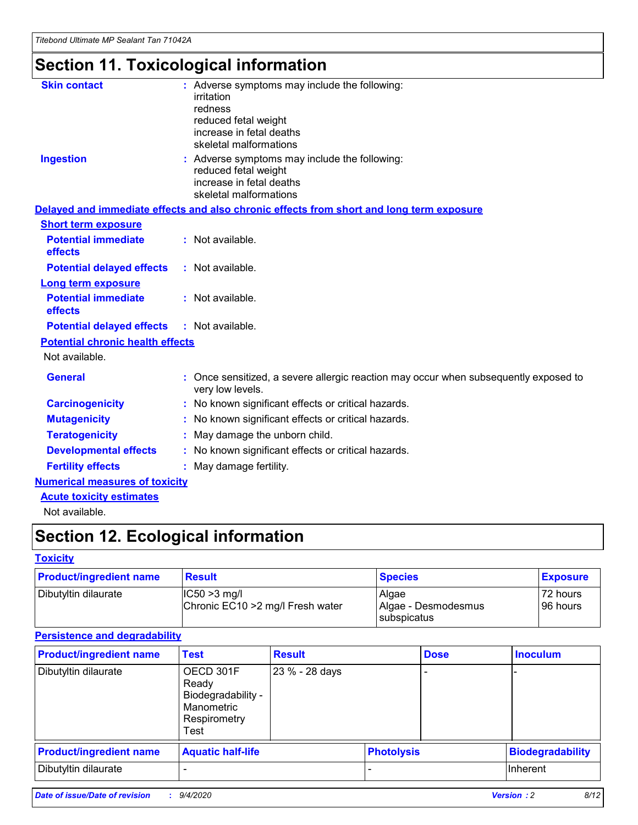# **Section 11. Toxicological information**

| <b>Skin contact</b>                     | : Adverse symptoms may include the following:                                                            |
|-----------------------------------------|----------------------------------------------------------------------------------------------------------|
|                                         | irritation                                                                                               |
|                                         | redness                                                                                                  |
|                                         | reduced fetal weight                                                                                     |
|                                         | increase in fetal deaths                                                                                 |
|                                         | skeletal malformations                                                                                   |
| <b>Ingestion</b>                        | : Adverse symptoms may include the following:                                                            |
|                                         | reduced fetal weight                                                                                     |
|                                         | increase in fetal deaths                                                                                 |
|                                         | skeletal malformations                                                                                   |
|                                         | Delayed and immediate effects and also chronic effects from short and long term exposure                 |
| <b>Short term exposure</b>              |                                                                                                          |
| <b>Potential immediate</b>              | : Not available.                                                                                         |
| effects                                 |                                                                                                          |
| <b>Potential delayed effects</b>        | : Not available.                                                                                         |
| Long term exposure                      |                                                                                                          |
| <b>Potential immediate</b>              | : Not available.                                                                                         |
| effects                                 |                                                                                                          |
| <b>Potential delayed effects</b>        | : Not available.                                                                                         |
| <b>Potential chronic health effects</b> |                                                                                                          |
| Not available.                          |                                                                                                          |
| <b>General</b>                          | : Once sensitized, a severe allergic reaction may occur when subsequently exposed to<br>very low levels. |
| <b>Carcinogenicity</b>                  | : No known significant effects or critical hazards.                                                      |
| <b>Mutagenicity</b>                     | : No known significant effects or critical hazards.                                                      |
| <b>Teratogenicity</b>                   | May damage the unborn child.                                                                             |
| <b>Developmental effects</b>            | : No known significant effects or critical hazards.                                                      |
| <b>Fertility effects</b>                | May damage fertility.                                                                                    |
| <b>Numerical measures of toxicity</b>   |                                                                                                          |
| <b>Acute toxicity estimates</b>         |                                                                                                          |
| الملحلة والمستحيط والمسالم              |                                                                                                          |

Not available.

## **Section 12. Ecological information**

#### **Toxicity**

| <b>Product/ingredient name</b> | <b>Result</b>                                       | <b>Species</b>               | <b>Exposure</b>       |
|--------------------------------|-----------------------------------------------------|------------------------------|-----------------------|
| Dibutyltin dilaurate           | $ CC50>3$ mg/l<br>Chronic EC10 > 2 mg/l Fresh water | Algae<br>Algae - Desmodesmus | 72 hours<br>196 hours |
|                                |                                                     | <b>I</b> subspicatus         |                       |

#### **Persistence and degradability**

| <b>Product/ingredient name</b> | <b>Test</b>                                                                    | <b>Result</b>  |                   | <b>Dose</b> | <b>Inoculum</b>         |
|--------------------------------|--------------------------------------------------------------------------------|----------------|-------------------|-------------|-------------------------|
| Dibutyltin dilaurate           | OECD 301F<br>Ready<br>Biodegradability -<br>Manometric<br>Respirometry<br>Test | 23 % - 28 days |                   |             |                         |
| <b>Product/ingredient name</b> | <b>Aquatic half-life</b>                                                       |                | <b>Photolysis</b> |             | <b>Biodegradability</b> |
| Dibutyltin dilaurate           |                                                                                |                |                   |             | <b>Inherent</b>         |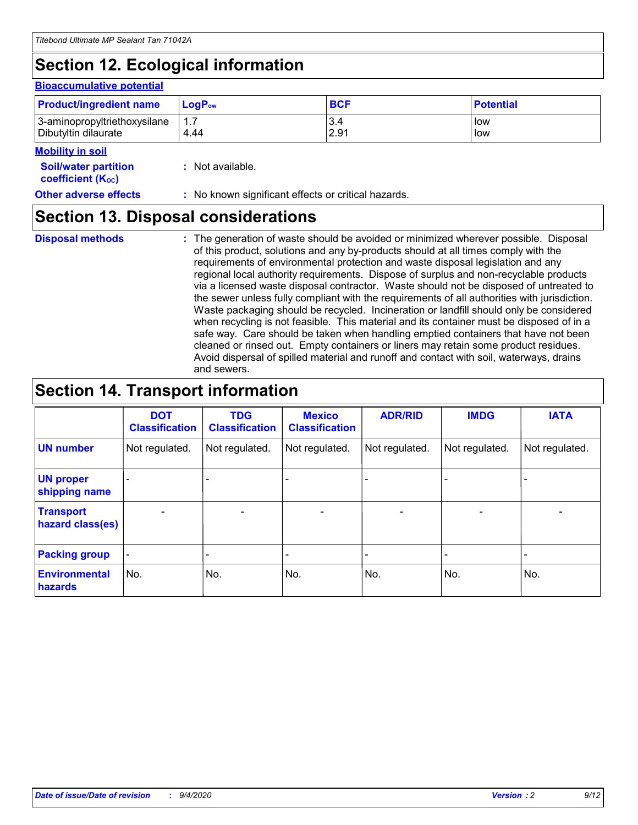# **Section 12. Ecological information**

#### **Bioaccumulative potential**

| <b>Product/ingredient name</b> | <b>LogP</b> <sub>ow</sub> | <b>BCF</b> | <b>Potential</b> |
|--------------------------------|---------------------------|------------|------------------|
| 3-aminopropyltriethoxysilane   | 4.44                      | 3.4        | low              |
| Dibutyltin dilaurate           |                           | 2.91       | low              |

#### **Mobility in soil**

| <b>Soil/water partition</b>           |  | : Not available. |
|---------------------------------------|--|------------------|
| <b>coefficient</b> (K <sub>oc</sub> ) |  |                  |

**Other adverse effects** : No known significant effects or critical hazards.

### **Section 13. Disposal considerations**

**Disposal methods :**

The generation of waste should be avoided or minimized wherever possible. Disposal of this product, solutions and any by-products should at all times comply with the requirements of environmental protection and waste disposal legislation and any regional local authority requirements. Dispose of surplus and non-recyclable products via a licensed waste disposal contractor. Waste should not be disposed of untreated to the sewer unless fully compliant with the requirements of all authorities with jurisdiction. Waste packaging should be recycled. Incineration or landfill should only be considered when recycling is not feasible. This material and its container must be disposed of in a safe way. Care should be taken when handling emptied containers that have not been cleaned or rinsed out. Empty containers or liners may retain some product residues. Avoid dispersal of spilled material and runoff and contact with soil, waterways, drains and sewers.

### **Section 14. Transport information**

|                                      | <b>DOT</b><br><b>Classification</b> | <b>TDG</b><br><b>Classification</b> | <b>Mexico</b><br><b>Classification</b> | <b>ADR/RID</b>           | <b>IMDG</b>              | <b>IATA</b>    |
|--------------------------------------|-------------------------------------|-------------------------------------|----------------------------------------|--------------------------|--------------------------|----------------|
| <b>UN number</b>                     | Not regulated.                      | Not regulated.                      | Not regulated.                         | Not regulated.           | Not regulated.           | Not regulated. |
| <b>UN proper</b><br>shipping name    |                                     |                                     |                                        |                          |                          |                |
| <b>Transport</b><br>hazard class(es) |                                     | $\overline{\phantom{0}}$            | $\qquad \qquad \blacksquare$           | $\overline{\phantom{0}}$ | $\overline{\phantom{0}}$ |                |
| <b>Packing group</b>                 |                                     |                                     |                                        |                          |                          |                |
| <b>Environmental</b><br>hazards      | No.                                 | No.                                 | No.                                    | No.                      | No.                      | No.            |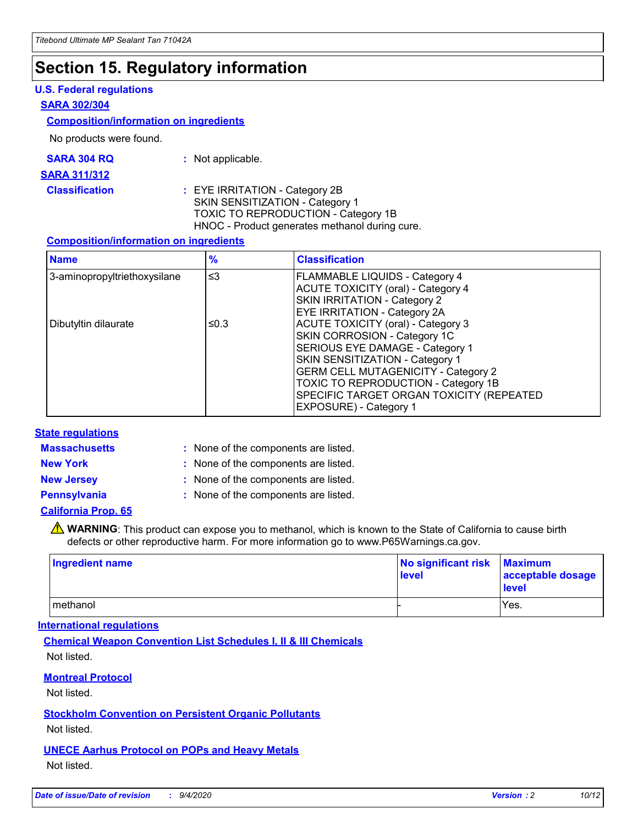### **Section 15. Regulatory information**

#### **U.S. Federal regulations**

#### **SARA 302/304**

#### **Composition/information on ingredients**

No products were found.

| SARA 304 RQ | Not applicable. |
|-------------|-----------------|
|-------------|-----------------|

#### **SARA 311/312**

#### **Classification :** EYE IRRITATION - Category 2B SKIN SENSITIZATION - Category 1 TOXIC TO REPRODUCTION - Category 1B HNOC - Product generates methanol during cure.

#### **Composition/information on ingredients**

| <b>Name</b>                  | $\frac{9}{6}$ | <b>Classification</b>                                                                                                                                                                                                                                                                                      |
|------------------------------|---------------|------------------------------------------------------------------------------------------------------------------------------------------------------------------------------------------------------------------------------------------------------------------------------------------------------------|
| 3-aminopropyltriethoxysilane | $\leq$ 3      | <b>FLAMMABLE LIQUIDS - Category 4</b><br><b>ACUTE TOXICITY (oral) - Category 4</b><br><b>SKIN IRRITATION - Category 2</b><br>EYE IRRITATION - Category 2A                                                                                                                                                  |
| Dibutyltin dilaurate         | ≤0.3          | <b>ACUTE TOXICITY (oral) - Category 3</b><br>SKIN CORROSION - Category 1C<br>SERIOUS EYE DAMAGE - Category 1<br>SKIN SENSITIZATION - Category 1<br><b>GERM CELL MUTAGENICITY - Category 2</b><br>TOXIC TO REPRODUCTION - Category 1B<br>SPECIFIC TARGET ORGAN TOXICITY (REPEATED<br>EXPOSURE) - Category 1 |

#### **State regulations**

**Massachusetts :**

: None of the components are listed.

**New York :** None of the components are listed. **New Jersey :** None of the components are listed.

**Pennsylvania :** None of the components are listed.

#### **California Prop. 65**

WARNING: This product can expose you to methanol, which is known to the State of California to cause birth defects or other reproductive harm. For more information go to www.P65Warnings.ca.gov.

| Ingredient name | No significant risk<br>level | <b>Maximum</b><br>acceptable dosage<br>level |
|-----------------|------------------------------|----------------------------------------------|
| methanol        |                              | Yes.                                         |

#### **International regulations**

**Chemical Weapon Convention List Schedules I, II & III Chemicals** Not listed.

#### **Montreal Protocol**

Not listed.

**Stockholm Convention on Persistent Organic Pollutants**

Not listed.

#### **UNECE Aarhus Protocol on POPs and Heavy Metals** Not listed.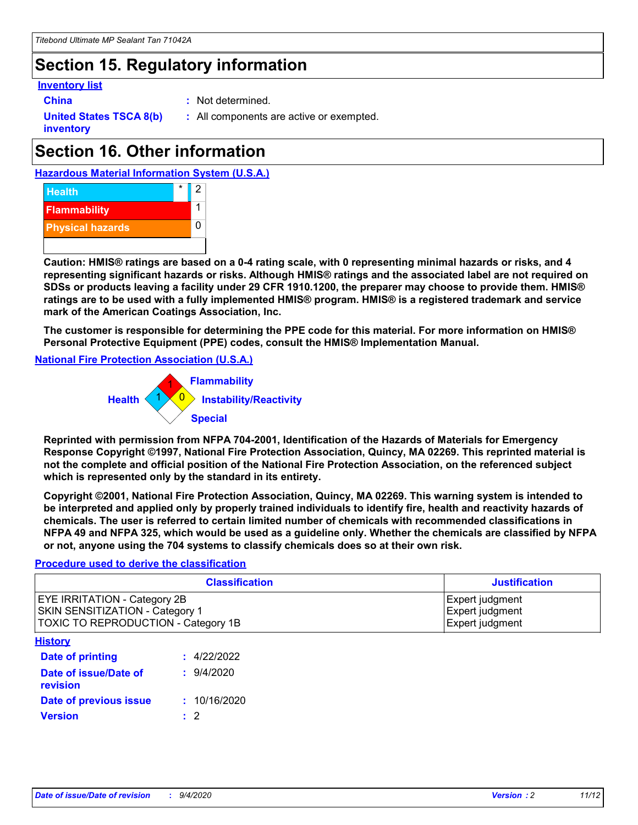## **Section 15. Regulatory information**

#### **Inventory list**

- 
- **China :** Not determined.

**United States TSCA 8(b) inventory**

**:** All components are active or exempted.

# **Section 16. Other information**





**Caution: HMIS® ratings are based on a 0-4 rating scale, with 0 representing minimal hazards or risks, and 4 representing significant hazards or risks. Although HMIS® ratings and the associated label are not required on SDSs or products leaving a facility under 29 CFR 1910.1200, the preparer may choose to provide them. HMIS® ratings are to be used with a fully implemented HMIS® program. HMIS® is a registered trademark and service mark of the American Coatings Association, Inc.**

**The customer is responsible for determining the PPE code for this material. For more information on HMIS® Personal Protective Equipment (PPE) codes, consult the HMIS® Implementation Manual.**

**National Fire Protection Association (U.S.A.)**



**Reprinted with permission from NFPA 704-2001, Identification of the Hazards of Materials for Emergency Response Copyright ©1997, National Fire Protection Association, Quincy, MA 02269. This reprinted material is not the complete and official position of the National Fire Protection Association, on the referenced subject which is represented only by the standard in its entirety.**

**Copyright ©2001, National Fire Protection Association, Quincy, MA 02269. This warning system is intended to be interpreted and applied only by properly trained individuals to identify fire, health and reactivity hazards of chemicals. The user is referred to certain limited number of chemicals with recommended classifications in NFPA 49 and NFPA 325, which would be used as a guideline only. Whether the chemicals are classified by NFPA or not, anyone using the 704 systems to classify chemicals does so at their own risk.**

#### **Procedure used to derive the classification**

| <b>Classification</b>                                                                                         | <b>Justification</b>                                  |
|---------------------------------------------------------------------------------------------------------------|-------------------------------------------------------|
| <b>EYE IRRITATION - Category 2B</b><br>SKIN SENSITIZATION - Category 1<br>TOXIC TO REPRODUCTION - Category 1B | Expert judgment<br>Expert judgment<br>Expert judgment |
| <b>History</b>                                                                                                |                                                       |

| .                                 |              |
|-----------------------------------|--------------|
| <b>Date of printing</b>           | : 4/22/2022  |
| Date of issue/Date of<br>revision | 9/4/2020     |
| Date of previous issue            | : 10/16/2020 |
| <b>Version</b>                    | $\cdot$ 2    |
|                                   |              |